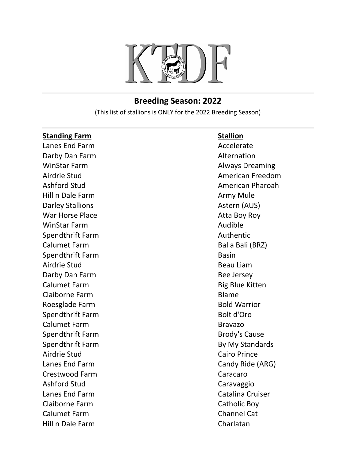

## **Breeding Season: 2022**

(This list of stallions is ONLY for the 2022 Breeding Season)

| <b>Standing Farm</b>    | <b>Stallion</b>         |
|-------------------------|-------------------------|
| Lanes End Farm          | Accelerate              |
| Darby Dan Farm          | Alternation             |
| <b>WinStar Farm</b>     | <b>Always Dreaming</b>  |
| Airdrie Stud            | <b>American Freedom</b> |
| <b>Ashford Stud</b>     | <b>American Pharoah</b> |
| Hill n Dale Farm        | Army Mule               |
| <b>Darley Stallions</b> | Astern (AUS)            |
| <b>War Horse Place</b>  | Atta Boy Roy            |
| <b>WinStar Farm</b>     | Audible                 |
| Spendthrift Farm        | Authentic               |
| <b>Calumet Farm</b>     | Bal a Bali (BRZ)        |
| Spendthrift Farm        | <b>Basin</b>            |
| Airdrie Stud            | <b>Beau Liam</b>        |
| Darby Dan Farm          | <b>Bee Jersey</b>       |
| <b>Calumet Farm</b>     | <b>Big Blue Kitten</b>  |
| Claiborne Farm          | <b>Blame</b>            |
| Roesglade Farm          | <b>Bold Warrior</b>     |
| Spendthrift Farm        | Bolt d'Oro              |
| <b>Calumet Farm</b>     | <b>Bravazo</b>          |
| Spendthrift Farm        | <b>Brody's Cause</b>    |
| Spendthrift Farm        | By My Standards         |
| Airdrie Stud            | <b>Cairo Prince</b>     |
| Lanes End Farm          | Candy Ride (ARG)        |
| <b>Crestwood Farm</b>   | Caracaro                |
| <b>Ashford Stud</b>     | Caravaggio              |
| Lanes End Farm          | Catalina Cruiser        |
| Claiborne Farm          | <b>Catholic Boy</b>     |
| <b>Calumet Farm</b>     | <b>Channel Cat</b>      |
| Hill n Dale Farm        | Charlatan               |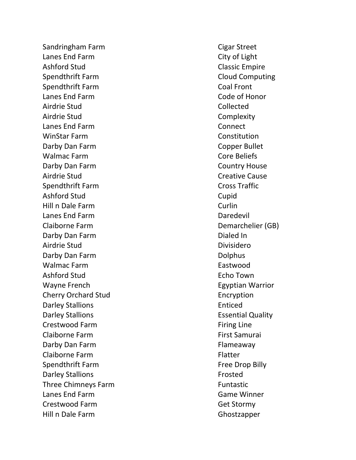Sandringham Farm **Cigar** Street Lanes End Farm City of Light Ashford Stud
and Classic Empire Spendthrift Farm **Cloud Computing** Spendthrift Farm Coal Front Lanes End Farm Code of Honor Airdrie Stud Collected Airdrie Stud Complexity Lanes End Farm Connect WinStar Farm Constitution Darby Dan Farm Copper Bullet Walmac Farm **Core Beliefs** Darby Dan Farm Country House Airdrie Stud Creative Cause Spendthrift Farm Cross Traffic Ashford Stud Cupid Cupid Cupid Cupid Cupid Cupid Cupid Cupid Cupid Cupid Cupid Cupid Cupid Cupid Cupid Cupid Cupid Cupid Cupid Cupid Cupid Cupid Cupid Cupid Cupid Cupid Cupid Cupid Cupid Cupid Cupid Cupid Cupid Cupid Cupid Hill n Dale Farm Curlin Lanes End Farm **Date Communist End Farm** Daredevil Claiborne Farm **Demarchelier** (GB) Darby Dan Farm **Dialed In** Airdrie Stud Divisidero Darby Dan Farm **Dolphus** Walmac Farm **Eastwood** Ashford Stud **Echo Town** Wayne French **Egyptian Warrior** Egyptian Warrior Cherry Orchard Stud **Encryption** Darley Stallions **Enticed** Darley Stallions **Example 20** and the Essential Quality Crestwood Farm **Firing Line** Claiborne Farm **First Samurai First Samurai First Samurai** Darby Dan Farm Flameaway Claiborne Farm **Flatter Flatter** Spendthrift Farm Free Drop Billy Darley Stallions **From Executive Stallions** Three Chimneys Farm Funtastic Lanes End Farm Game Winner Crestwood Farm Get Stormy Hill n Dale Farm Ghostzapper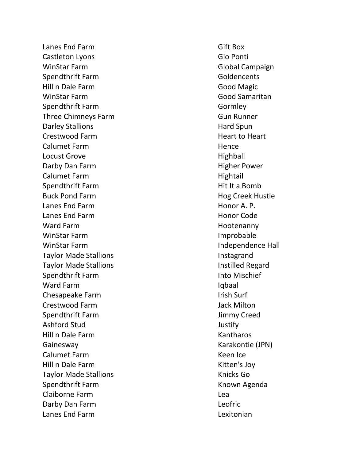Lanes End Farm Gift Box Castleton Lyons Gio Ponti WinStar Farm Global Campaign Spendthrift Farm Goldencents Hill n Dale Farm Good Magic WinStar Farm Good Samaritan Spendthrift Farm Gormley Three Chimneys Farm Gun Runner Darley Stallions **Hard Spun** Crestwood Farm **Heart to Heart to Heart** Calumet Farm **Hence** Locust Grove **Highball** Darby Dan Farm **Higher Power** Calumet Farm **Hightail** Spendthrift Farm **Hit It a Bomb** Buck Pond Farm **Hog Creek Hustle** Lanes End Farm **Honor A. P.** Lanes End Farm **Honor Code** Ward Farm **Hootenanny** WinStar Farm **Improbable** WinStar Farm **Independence Hall** Taylor Made Stallions **Instagrand** Taylor Made Stallions **Institute Institute Regard** Spendthrift Farm **Into Mischief** Ward Farm **Iqbaal** Chesapeake Farm **Irish Surf** Irish Surf Crestwood Farm Jack Milton Spendthrift Farm Jimmy Creed Ashford Stud Justify Hill n Dale Farm Kantharos Gainesway Karakontie (JPN) Calumet Farm **Keen Ice** Hill n Dale Farm Kitten's Joy Taylor Made Stallions **Knicks** Go Spendthrift Farm **Known Agenda** Claiborne Farm Lea Darby Dan Farm Leofric Lanes End Farm Lexitonian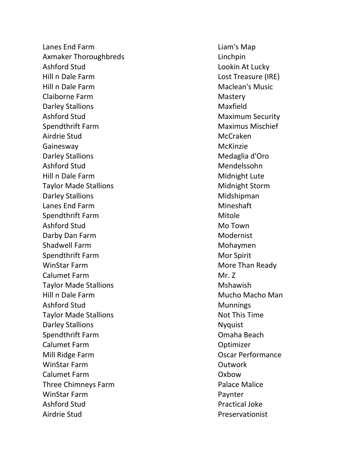Lanes End Farm Liam's Map Axmaker Thoroughbreds **Linchpin** Ashford Stud **Lookin At Lucky** Hill n Dale Farm Lost Treasure (IRE) Hill n Dale Farm **Maclean's Music** Music Claiborne Farm Mastery Darley Stallions **Maxfield** Ashford Stud **Maximum Security** Spendthrift Farm Maximus Mischief Airdrie Stud McCraken Gainesway **McKinzie** McKinzie Darley Stallions **Medaglia d'Oro** Ashford Stud Mendelssohn Hill n Dale Farm Midnight Lute Taylor Made Stallions Midnight Storm Darley Stallions Lanes End Farm Mineshaft Spendthrift Farm Mitole Ashford Stud Mo Town Darby Dan Farm Modernist Shadwell Farm Mohaymen Spendthrift Farm Mor Spirit WinStar Farm More Than Ready Calumet Farm Mr. Z Taylor Made Stallions **Mateurs** Mshawish Hill n Dale Farm **Mucho Macho Man** Ashford Stud Munnings Taylor Made Stallions Not This Time Darley Stallions Nyquist Spendthrift Farm Omaha Beach Calumet Farm Optimizer Mill Ridge Farm Oscar Performance WinStar Farm **Outwork** Calumet Farm Oxbow Three Chimneys Farm **Palace Malice** Palace Malice WinStar Farm **Paynter** Paynter Ashford Stud **Practical Joke** Airdrie Stud Preservationist

Midshipman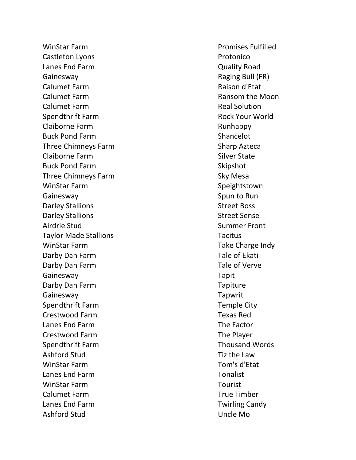WinStar Farm **Promises Fulfilled** Castleton Lyons **Protonico** Lanes End Farm Quality Road Gainesway **Gainesway Raging Bull (FR)** Calumet Farm **Raison d'Etat** Calumet Farm **Ransom the Moon** Calumet Farm Real Solution Spendthrift Farm **Rock Your World** Claiborne Farm **Runhappy** Runhappy Buck Pond Farm Shancelot Three Chimneys Farm Sharp Azteca Claiborne Farm Silver State Buck Pond Farm Skipshot Three Chimneys Farm Sky Mesa WinStar Farm Speightstown Gainesway **Spun to Run** Spun to Run Spun to Run Spun to Run Spun to Run Spun to Run Spun to Run Spun to Run Spun to Run Spun to Run Spun to Run Spun to Run Spun to Run Spun to Run Spun to Run Spun to Run Spun to Run Spun t Darley Stallions **Street Boss** Darley Stallions **Street Sense** Airdrie Stud Summer Front Taylor Made Stallions Tacitus WinStar Farm Take Charge Indy Darby Dan Farm Tale of Ekati Darby Dan Farm Tale of Verve Gainesway Tapit Darby Dan Farm Tapiture Gainesway Tapwrit Spendthrift Farm Temple City Crestwood Farm Texas Red Lanes End Farm The Factor Crestwood Farm The Player Spendthrift Farm Thousand Words Ashford Stud Tiz the Law WinStar Farm Tom's d'Etat Lanes End Farm Tonalist WinStar Farm Tourist Calumet Farm True Timber Lanes End Farm Twirling Candy Ashford Stud Uncle Mo